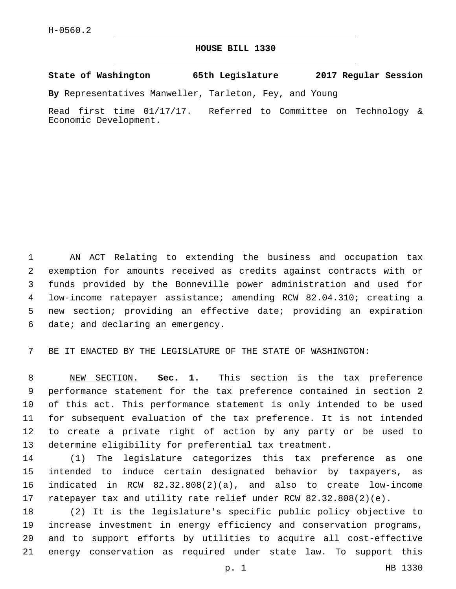## **HOUSE BILL 1330**

**State of Washington 65th Legislature 2017 Regular Session**

**By** Representatives Manweller, Tarleton, Fey, and Young

Read first time 01/17/17. Referred to Committee on Technology & Economic Development.

 AN ACT Relating to extending the business and occupation tax exemption for amounts received as credits against contracts with or funds provided by the Bonneville power administration and used for low-income ratepayer assistance; amending RCW 82.04.310; creating a new section; providing an effective date; providing an expiration 6 date; and declaring an emergency.

BE IT ENACTED BY THE LEGISLATURE OF THE STATE OF WASHINGTON:

 NEW SECTION. **Sec. 1.** This section is the tax preference performance statement for the tax preference contained in section 2 of this act. This performance statement is only intended to be used for subsequent evaluation of the tax preference. It is not intended to create a private right of action by any party or be used to determine eligibility for preferential tax treatment.

 (1) The legislature categorizes this tax preference as one intended to induce certain designated behavior by taxpayers, as indicated in RCW 82.32.808(2)(a), and also to create low-income ratepayer tax and utility rate relief under RCW 82.32.808(2)(e).

 (2) It is the legislature's specific public policy objective to increase investment in energy efficiency and conservation programs, and to support efforts by utilities to acquire all cost-effective energy conservation as required under state law. To support this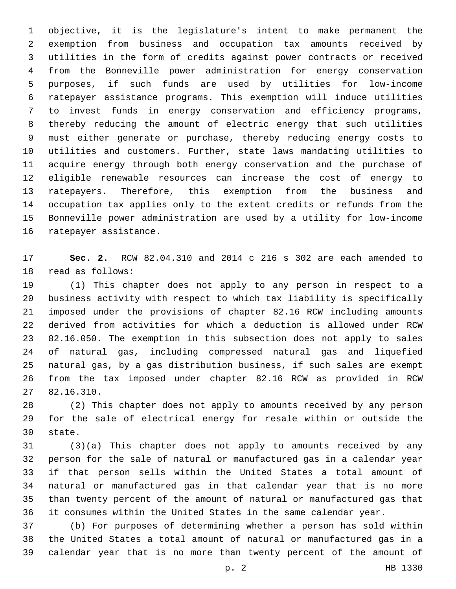objective, it is the legislature's intent to make permanent the exemption from business and occupation tax amounts received by utilities in the form of credits against power contracts or received from the Bonneville power administration for energy conservation purposes, if such funds are used by utilities for low-income ratepayer assistance programs. This exemption will induce utilities to invest funds in energy conservation and efficiency programs, thereby reducing the amount of electric energy that such utilities must either generate or purchase, thereby reducing energy costs to utilities and customers. Further, state laws mandating utilities to acquire energy through both energy conservation and the purchase of eligible renewable resources can increase the cost of energy to ratepayers. Therefore, this exemption from the business and occupation tax applies only to the extent credits or refunds from the Bonneville power administration are used by a utility for low-income 16 ratepayer assistance.

 **Sec. 2.** RCW 82.04.310 and 2014 c 216 s 302 are each amended to 18 read as follows:

 (1) This chapter does not apply to any person in respect to a business activity with respect to which tax liability is specifically imposed under the provisions of chapter 82.16 RCW including amounts derived from activities for which a deduction is allowed under RCW 82.16.050. The exemption in this subsection does not apply to sales of natural gas, including compressed natural gas and liquefied natural gas, by a gas distribution business, if such sales are exempt from the tax imposed under chapter 82.16 RCW as provided in RCW 82.16.310.27

 (2) This chapter does not apply to amounts received by any person for the sale of electrical energy for resale within or outside the 30 state.

 (3)(a) This chapter does not apply to amounts received by any person for the sale of natural or manufactured gas in a calendar year if that person sells within the United States a total amount of natural or manufactured gas in that calendar year that is no more than twenty percent of the amount of natural or manufactured gas that it consumes within the United States in the same calendar year.

 (b) For purposes of determining whether a person has sold within the United States a total amount of natural or manufactured gas in a calendar year that is no more than twenty percent of the amount of